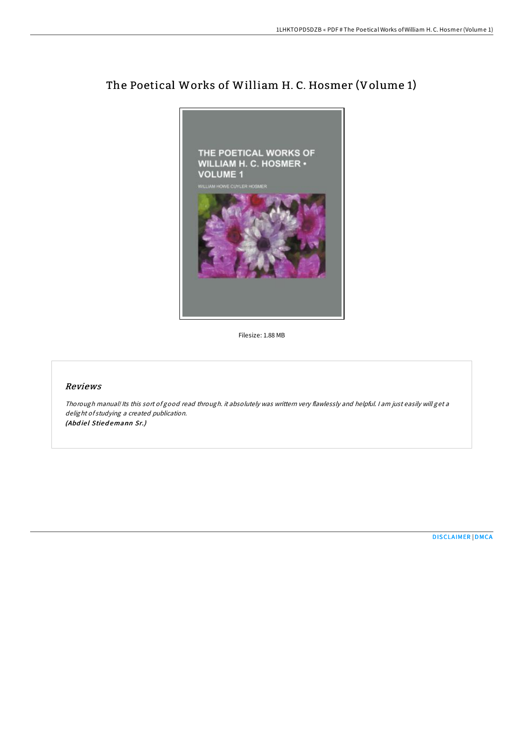# The Poetical Works of William H. C. Hosmer (Volume 1)



Filesize: 1.88 MB

### Reviews

Thorough manual! Its this sort of good read through. it absolutely was writtern very flawlessly and helpful. <sup>I</sup> am just easily will get <sup>a</sup> delight of studying <sup>a</sup> created publication. (Abdiel Stiedemann Sr.)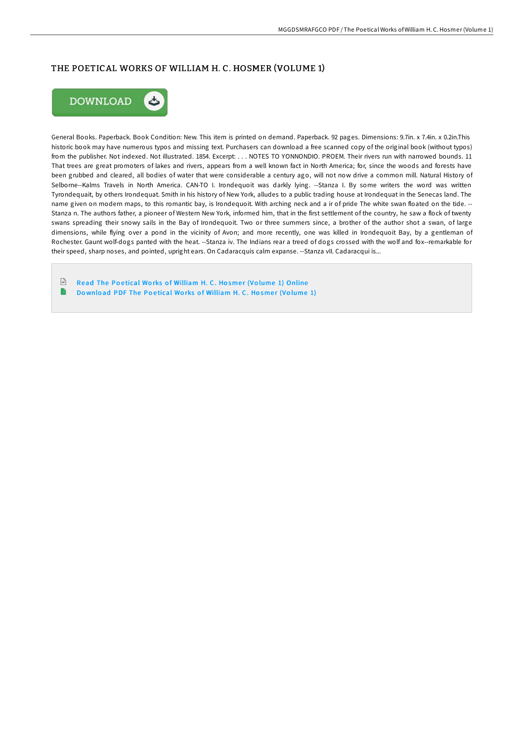# THE POETICAL WORKS OF WILLIAM H. C. HOSMER (VOLUME 1)



General Books. Paperback. Book Condition: New. This item is printed on demand. Paperback. 92 pages. Dimensions: 9.7in. x 7.4in. x 0.2in.This historic book may have numerous typos and missing text. Purchasers can download a free scanned copy of the original book (without typos) from the publisher. Not indexed. Not illustrated. 1854. Excerpt: . . . NOTES TO YONNONDIO. PROEM. Their rivers run with narrowed bounds. 11 That trees are great promoters of lakes and rivers, appears from a well known fact in North America; for, since the woods and forests have been grubbed and cleared, all bodies of water that were considerable a century ago, will not now drive a common mill. Natural History of Selborne--Kalms Travels in North America. CAN-TO I. Irondequoit was darkly lying. --Stanza I. By some writers the word was written Tyrondequait, by others Irondequat. Smith in his history of New York, alludes to a public trading house at Irondequat in the Senecas land. The name given on modern maps, to this romantic bay, is Irondequoit. With arching neck and a ir of pride The white swan floated on the tide. -- Stanza n. The authors father, a pioneer of Western New York, informed him, that in the first settlement of the country, he saw a flock of twenty swans spreading their snowy sails in the Bay of Irondequoit. Two or three summers since, a brother of the author shot a swan, of large dimensions, while flying over a pond in the vicinity of Avon; and more recently, one was killed in Irondequoit Bay, by a gentleman of Rochester. Gaunt wolf-dogs panted with the heat. --Stanza iv. The Indians rear a treed of dogs crossed with the wolf and fox--remarkable for their speed, sharp noses, and pointed, upright ears. On Cadaracquis calm expanse. --Stanza vII. Cadaracqui is...

 $\sqrt{\frac{1}{n}}$ Read The Poetical Works of [William](http://almighty24.tech/the-poetical-works-of-william-h-c-hosmer-volume-.html) H. C. Hosmer (Volume 1) Online B Download PDF The Poetical Works of [William](http://almighty24.tech/the-poetical-works-of-william-h-c-hosmer-volume-.html) H. C. Hosmer (Volume 1)